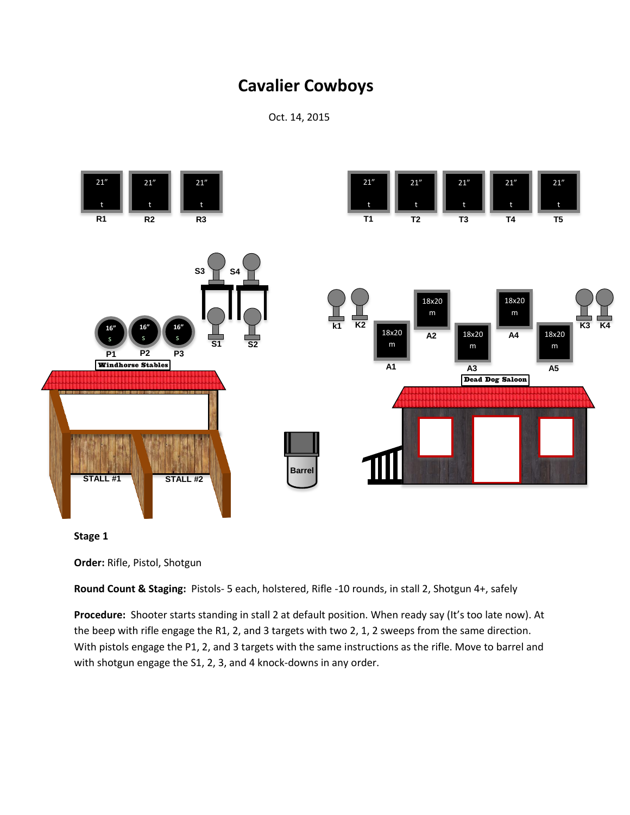Oct. 14, 2015



**Stage 1**

**Order:** Rifle, Pistol, Shotgun

**Round Count & Staging:** Pistols- 5 each, holstered, Rifle -10 rounds, in stall 2, Shotgun 4+, safely

**Procedure:** Shooter starts standing in stall 2 at default position. When ready say (It's too late now). At the beep with rifle engage the R1, 2, and 3 targets with two 2, 1, 2 sweeps from the same direction. With pistols engage the P1, 2, and 3 targets with the same instructions as the rifle. Move to barrel and with shotgun engage the S1, 2, 3, and 4 knock-downs in any order.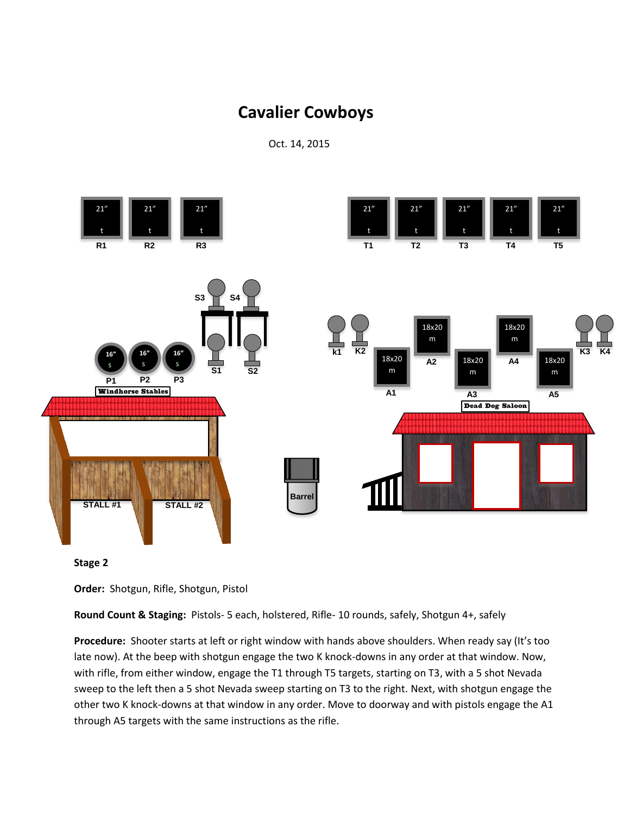Oct. 14, 2015





**Order:** Shotgun, Rifle, Shotgun, Pistol

**Round Count & Staging:** Pistols- 5 each, holstered, Rifle- 10 rounds, safely, Shotgun 4+, safely

**Procedure:** Shooter starts at left or right window with hands above shoulders. When ready say (It's too late now). At the beep with shotgun engage the two K knock-downs in any order at that window. Now, with rifle, from either window, engage the T1 through T5 targets, starting on T3, with a 5 shot Nevada sweep to the left then a 5 shot Nevada sweep starting on T3 to the right. Next, with shotgun engage the other two K knock-downs at that window in any order. Move to doorway and with pistols engage the A1 through A5 targets with the same instructions as the rifle.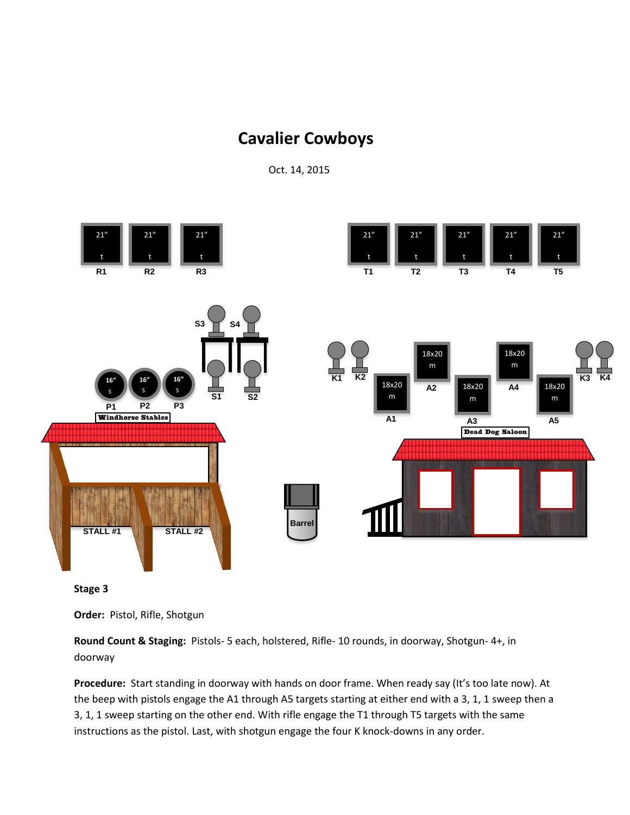Oct. 14, 2015





**Order:** Pistol, Rifle, Shotgun

**Round Count & Staging:** Pistols- 5 each, holstered, Rifle- 10 rounds, in doorway, Shotgun- 4+, in doorway

**Procedure:** Start standing in doorway with hands on door frame. When ready say (It's too late now). At the beep with pistols engage the A1 through A5 targets starting at either end with a 3, 1, 1 sweep then a 3, 1, 1 sweep starting on the other end. With rifle engage the T1 through T5 targets with the same instructions as the pistol. Last, with shotgun engage the four K knock-downs in any order.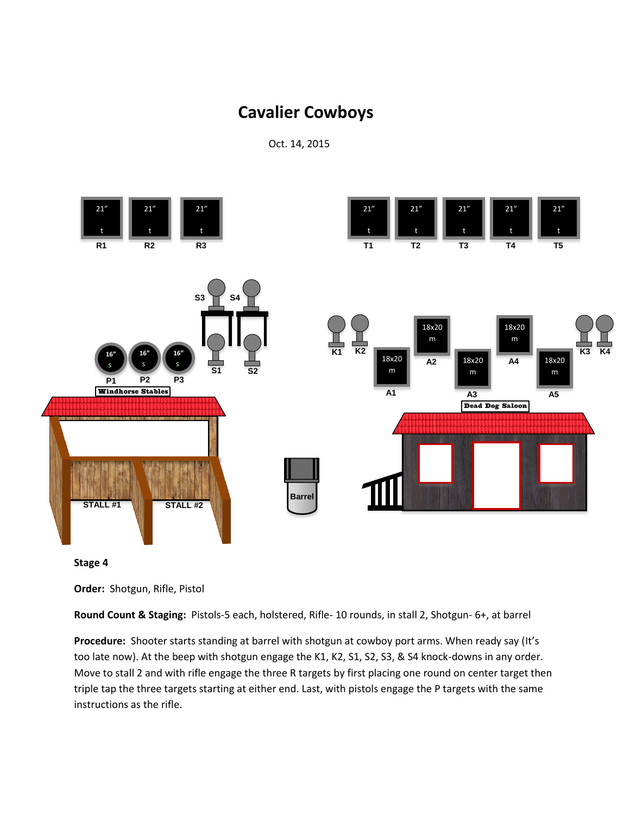Oct. 14, 2015





**Order:** Shotgun, Rifle, Pistol

**Round Count & Staging:** Pistols-5 each, holstered, Rifle- 10 rounds, in stall 2, Shotgun- 6+, at barrel

**Procedure:** Shooter starts standing at barrel with shotgun at cowboy port arms. When ready say (It's too late now). At the beep with shotgun engage the K1, K2, S1, S2, S3, & S4 knock-downs in any order. Move to stall 2 and with rifle engage the three R targets by first placing one round on center target then triple tap the three targets starting at either end. Last, with pistols engage the P targets with the same instructions as the rifle.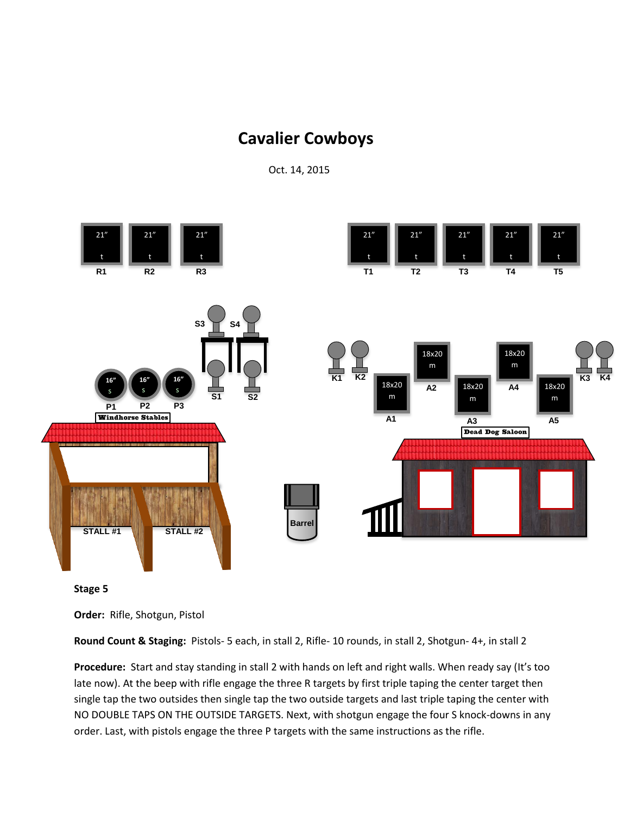Oct. 14, 2015





**Order:** Rifle, Shotgun, Pistol

**Round Count & Staging:** Pistols- 5 each, in stall 2, Rifle- 10 rounds, in stall 2, Shotgun- 4+, in stall 2

**Procedure:** Start and stay standing in stall 2 with hands on left and right walls. When ready say (It's too late now). At the beep with rifle engage the three R targets by first triple taping the center target then single tap the two outsides then single tap the two outside targets and last triple taping the center with NO DOUBLE TAPS ON THE OUTSIDE TARGETS. Next, with shotgun engage the four S knock-downs in any order. Last, with pistols engage the three P targets with the same instructions as the rifle.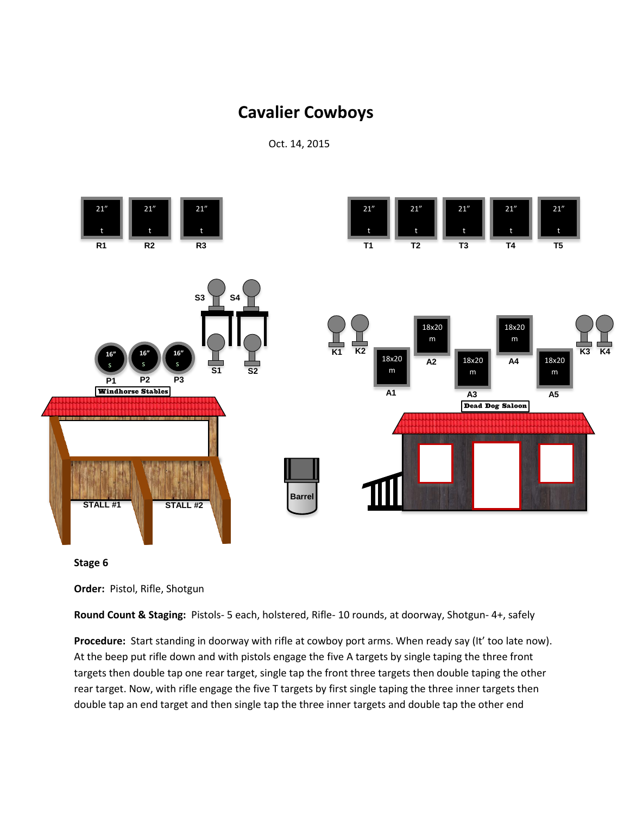Oct. 14, 2015





**Order:** Pistol, Rifle, Shotgun

**Round Count & Staging:** Pistols- 5 each, holstered, Rifle- 10 rounds, at doorway, Shotgun- 4+, safely

**Procedure:** Start standing in doorway with rifle at cowboy port arms. When ready say (It' too late now). At the beep put rifle down and with pistols engage the five A targets by single taping the three front targets then double tap one rear target, single tap the front three targets then double taping the other rear target. Now, with rifle engage the five T targets by first single taping the three inner targets then double tap an end target and then single tap the three inner targets and double tap the other end